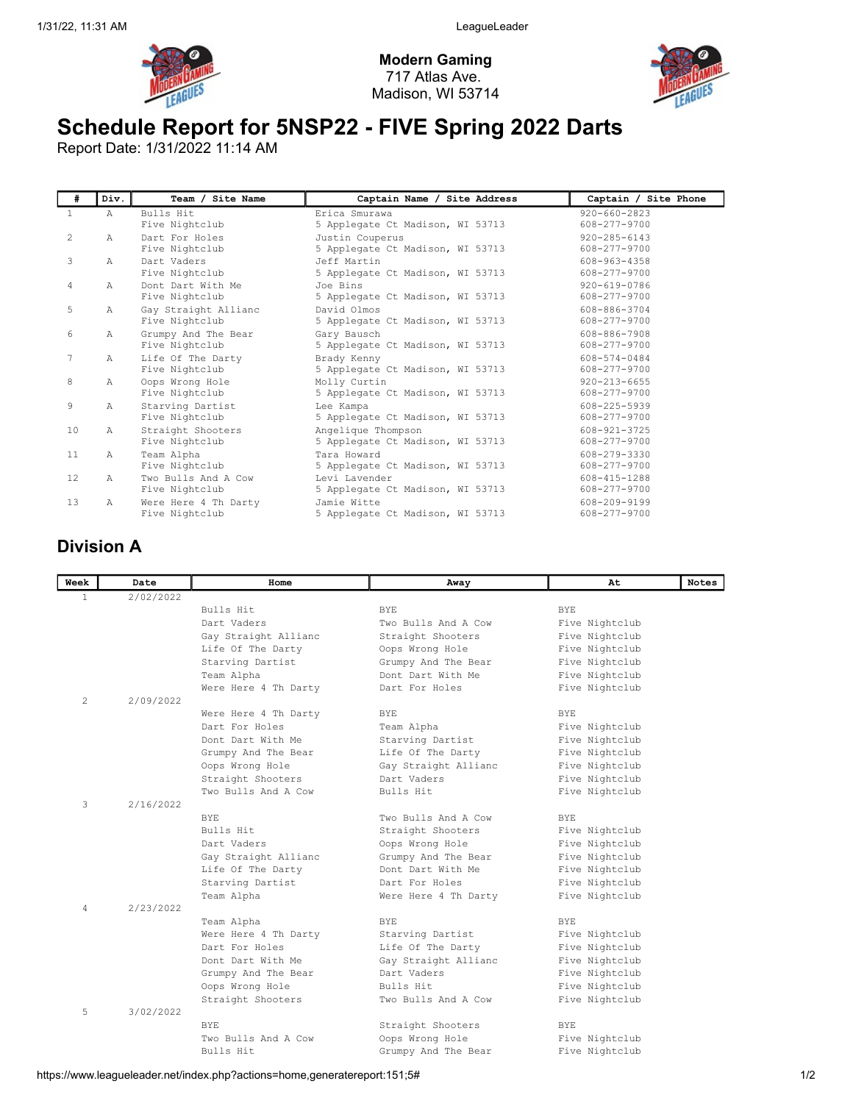



## Schedule Report for 5NSP22 - FIVE Spring 2022 Darts

Report Date: 1/31/2022 11:14 AM

| #                 | Div.         | Team / Site Name                       | Captain Name / Site Address                            | Captain / Site Phone                     |
|-------------------|--------------|----------------------------------------|--------------------------------------------------------|------------------------------------------|
| $\mathbf{1}$      | $\mathbb{A}$ | Bulls Hit<br>Five Nightclub            | Erica Smurawa<br>5 Applegate Ct Madison, WI 53713      | $920 - 660 - 2823$<br>608-277-9700       |
| 2                 | Α            | Dart For Holes<br>Five Nightclub       | Justin Couperus<br>5 Applegate Ct Madison, WI 53713    | $920 - 285 - 6143$<br>608-277-9700       |
| 3                 | Α            | Dart Vaders<br>Five Nightclub          | Jeff Martin<br>5 Applegate Ct Madison, WI 53713        | 608-963-4358<br>608-277-9700             |
| 4                 | $\mathbb{A}$ | Dont Dart With Me<br>Five Nightclub    | Joe Bins<br>5 Applegate Ct Madison, WI 53713           | $920 - 619 - 0786$<br>608-277-9700       |
| 5                 | Α            | Gay Straight Allianc<br>Five Nightclub | David Olmos<br>5 Applegate Ct Madison, WI 53713        | 608-886-3704<br>608-277-9700             |
| 6                 | Α            | Grumpy And The Bear<br>Five Nightclub  | Gary Bausch<br>5 Applegate Ct Madison, WI 53713        | 608-886-7908<br>608-277-9700             |
| 7                 | Α            | Life Of The Darty<br>Five Nightclub    | Brady Kenny<br>5 Applegate Ct Madison, WI 53713        | 608-574-0484<br>608-277-9700             |
| 8                 | Α            | Oops Wrong Hole<br>Five Nightclub      | Molly Curtin<br>5 Applegate Ct Madison, WI 53713       | $920 - 213 - 6655$<br>$608 - 277 - 9700$ |
| 9                 | Α            | Starving Dartist<br>Five Nightclub     | Lee Kampa<br>5 Applegate Ct Madison, WI 53713          | 608-225-5939<br>608-277-9700             |
| 10                | Α            | Straight Shooters<br>Five Nightclub    | Angelique Thompson<br>5 Applegate Ct Madison, WI 53713 | 608-921-3725<br>$608 - 277 - 9700$       |
| 11                | Α            | Team Alpha<br>Five Nightclub           | Tara Howard<br>5 Applegate Ct Madison, WI 53713        | 608-279-3330<br>608-277-9700             |
| $12 \overline{ }$ | A            | Two Bulls And A Cow<br>Five Nightclub  | Levi Lavender<br>5 Applegate Ct Madison, WI 53713      | 608-415-1288<br>608-277-9700             |
| 13                | $\mathbb{A}$ | Were Here 4 Th Darty<br>Five Nightclub | Jamie Witte<br>5 Applegate Ct Madison, WI 53713        | 608-209-9199<br>608-277-9700             |

## Division A

| Week         | Date      | Home                 | Away                 | At             | Notes |
|--------------|-----------|----------------------|----------------------|----------------|-------|
| $\mathbf{1}$ | 2/02/2022 |                      |                      |                |       |
|              |           | Bulls Hit            | <b>BYE</b>           | <b>BYE</b>     |       |
|              |           | Dart Vaders          | Two Bulls And A Cow  | Five Nightclub |       |
|              |           | Gay Straight Allianc | Straight Shooters    | Five Nightclub |       |
|              |           | Life Of The Darty    | Oops Wrong Hole      | Five Nightclub |       |
|              |           | Starving Dartist     | Grumpy And The Bear  | Five Nightclub |       |
|              |           | Team Alpha           | Dont Dart With Me    | Five Nightclub |       |
|              |           | Were Here 4 Th Darty | Dart For Holes       | Five Nightclub |       |
| 2            | 2/09/2022 |                      |                      |                |       |
|              |           | Were Here 4 Th Darty | BYE                  | <b>BYE</b>     |       |
|              |           | Dart For Holes       | Team Alpha           | Five Nightclub |       |
|              |           | Dont Dart With Me    | Starving Dartist     | Five Nightclub |       |
|              |           | Grumpy And The Bear  | Life Of The Darty    | Five Nightclub |       |
|              |           | Oops Wrong Hole      | Gay Straight Allianc | Five Nightclub |       |
|              |           | Straight Shooters    | Dart Vaders          | Five Nightclub |       |
|              |           | Two Bulls And A Cow  | Bulls Hit            | Five Nightclub |       |
| 3            | 2/16/2022 |                      |                      |                |       |
|              |           | <b>BYE</b>           | Two Bulls And A Cow  | <b>BYE</b>     |       |
|              |           | Bulls Hit            | Straight Shooters    | Five Nightclub |       |
|              |           | Dart Vaders          | Oops Wrong Hole      | Five Nightclub |       |
|              |           | Gay Straight Allianc | Grumpy And The Bear  | Five Nightclub |       |
|              |           | Life Of The Darty    | Dont Dart With Me    | Five Nightclub |       |
|              |           | Starving Dartist     | Dart For Holes       | Five Nightclub |       |
|              |           | Team Alpha           | Were Here 4 Th Darty | Five Nightclub |       |
| 4            | 2/23/2022 |                      |                      |                |       |
|              |           | Team Alpha           | <b>BYE</b>           | <b>BYE</b>     |       |
|              |           | Were Here 4 Th Darty | Starving Dartist     | Five Nightclub |       |
|              |           | Dart For Holes       | Life Of The Darty    | Five Nightclub |       |
|              |           | Dont Dart With Me    | Gay Straight Allianc | Five Nightclub |       |
|              |           | Grumpy And The Bear  | Dart Vaders          | Five Nightclub |       |
|              |           | Oops Wrong Hole      | Bulls Hit            | Five Nightclub |       |
|              |           | Straight Shooters    | Two Bulls And A Cow  | Five Nightclub |       |
| 5            | 3/02/2022 |                      |                      |                |       |
|              |           | <b>BYE</b>           | Straight Shooters    | <b>BYE</b>     |       |
|              |           | Two Bulls And A Cow  | Oops Wrong Hole      | Five Nightclub |       |
|              |           | Bulls Hit            | Grumpy And The Bear  | Five Nightclub |       |

https://www.leagueleader.net/index.php?actions=home,generatereport:151;5# 1/2